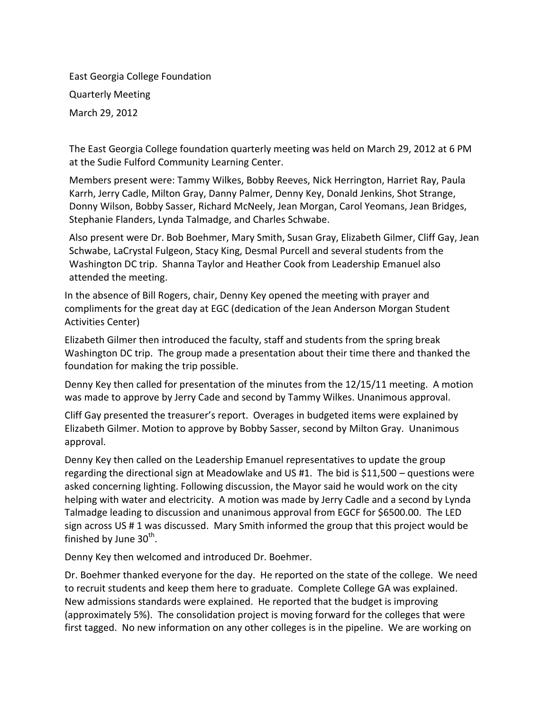East Georgia College Foundation Quarterly Meeting March 29, 2012

The East Georgia College foundation quarterly meeting was held on March 29, 2012 at 6 PM at the Sudie Fulford Community Learning Center.

Members present were: Tammy Wilkes, Bobby Reeves, Nick Herrington, Harriet Ray, Paula Karrh, Jerry Cadle, Milton Gray, Danny Palmer, Denny Key, Donald Jenkins, Shot Strange, Donny Wilson, Bobby Sasser, Richard McNeely, Jean Morgan, Carol Yeomans, Jean Bridges, Stephanie Flanders, Lynda Talmadge, and Charles Schwabe.

Also present were Dr. Bob Boehmer, Mary Smith, Susan Gray, Elizabeth Gilmer, Cliff Gay, Jean Schwabe, LaCrystal Fulgeon, Stacy King, Desmal Purcell and several students from the Washington DC trip. Shanna Taylor and Heather Cook from Leadership Emanuel also attended the meeting.

In the absence of Bill Rogers, chair, Denny Key opened the meeting with prayer and compliments for the great day at EGC (dedication of the Jean Anderson Morgan Student Activities Center)

Elizabeth Gilmer then introduced the faculty, staff and students from the spring break Washington DC trip. The group made a presentation about their time there and thanked the foundation for making the trip possible.

Denny Key then called for presentation of the minutes from the 12/15/11 meeting. A motion was made to approve by Jerry Cade and second by Tammy Wilkes. Unanimous approval.

Cliff Gay presented the treasurer's report. Overages in budgeted items were explained by Elizabeth Gilmer. Motion to approve by Bobby Sasser, second by Milton Gray. Unanimous approval.

Denny Key then called on the Leadership Emanuel representatives to update the group regarding the directional sign at Meadowlake and US #1. The bid is \$11,500 – questions were asked concerning lighting. Following discussion, the Mayor said he would work on the city helping with water and electricity. A motion was made by Jerry Cadle and a second by Lynda Talmadge leading to discussion and unanimous approval from EGCF for \$6500.00. The LED sign across US # 1 was discussed. Mary Smith informed the group that this project would be finished by June 30 $^{\sf th}$ .

Denny Key then welcomed and introduced Dr. Boehmer.

Dr. Boehmer thanked everyone for the day. He reported on the state of the college. We need to recruit students and keep them here to graduate. Complete College GA was explained. New admissions standards were explained. He reported that the budget is improving (approximately 5%). The consolidation project is moving forward for the colleges that were first tagged. No new information on any other colleges is in the pipeline. We are working on